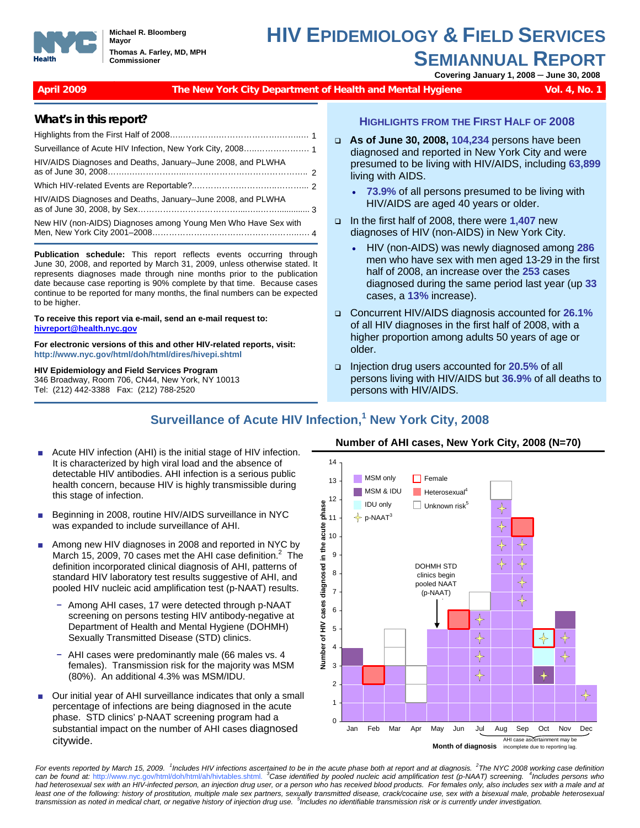

**Michael R. Bloomberg Mayor Thomas A. Farley, MD, MPH Commissioner**

# **HIV EPIDEMIOLOGY & FIELD SERVICES SEMIANNUAL REPORT Covering January 1, 2008 ─ June 30, 2008**

#### **April 2009 The New York City Department of Health and Mental Hygiene Vol. 4, No. 1**

#### **What's in this report?**

| HIV/AIDS Diagnoses and Deaths, January-June 2008, and PLWHA    |  |
|----------------------------------------------------------------|--|
|                                                                |  |
| HIV/AIDS Diagnoses and Deaths, January-June 2008, and PLWHA    |  |
| New HIV (non-AIDS) Diagnoses among Young Men Who Have Sex with |  |

**Publication schedule:** This report reflects events occurring through June 30, 2008, and reported by March 31, 2009, unless otherwise stated. It represents diagnoses made through nine months prior to the publication date because case reporting is 90% complete by that time. Because cases continue to be reported for many months, the final numbers can be expected to be higher.

**To receive this report via e-mail, send an e-mail request to: [hivreport@health.nyc.gov](mailto:hivreport@health.nyc.gov)**

**For electronic versions of this and other HIV-related reports, visit: http://www.nyc.gov/html/doh/html/dires/hivepi.shtml**

#### **HIV Epidemiology and Field Services Program**

346 Broadway, Room 706, CN44, New York, NY 10013 Tel: (212) 442-3388 Fax: (212) 788-2520

#### **HIGHLIGHTS FROM THE FIRST HALF OF 2008**

- **As of June 30, 2008, 104,234** persons have been diagnosed and reported in New York City and were presumed to be living with HIV/AIDS, including **63,899** living with AIDS.
	- **73.9%** of all persons presumed to be living with HIV/AIDS are aged 40 years or older.
- In the first half of 2008, there were **1,407** new diagnoses of HIV (non-AIDS) in New York City.
	- HIV (non-AIDS) was newly diagnosed among **286**  men who have sex with men aged 13-29 in the first half of 2008, an increase over the **253** cases diagnosed during the same period last year (up **33** cases, a **13%** increase).
- Concurrent HIV/AIDS diagnosis accounted for **26.1%** of all HIV diagnoses in the first half of 2008, with a higher proportion among adults 50 years of age or older.
- Injection drug users accounted for **20.5%** of all persons living with HIV/AIDS but **36.9%** of all deaths to persons with HIV/AIDS.

## **Surveillance of Acute HIV Infection,<sup>1</sup> New York City, 2008**

- Acute HIV infection (AHI) is the initial stage of HIV infection. It is characterized by high viral load and the absence of detectable HIV antibodies. AHI infection is a serious public health concern, because HIV is highly transmissible during this stage of infection.
- Beginning in 2008, routine HIV/AIDS surveillance in NYC was expanded to include surveillance of AHI.
- Among new HIV diagnoses in 2008 and reported in NYC by March 15, 2009, 70 cases met the AHI case definition. $2$  The definition incorporated clinical diagnosis of AHI, patterns of standard HIV laboratory test results suggestive of AHI, and pooled HIV nucleic acid amplification test (p-NAAT) results.
	- − Among AHI cases, 17 were detected through p-NAAT screening on persons testing HIV antibody-negative at Department of Health and Mental Hygiene (DOHMH) Sexually Transmitted Disease (STD) clinics.
	- − AHI cases were predominantly male (66 males vs. 4 females). Transmission risk for the majority was MSM (80%). An additional 4.3% was MSM/IDU.
- Our initial year of AHI surveillance indicates that only a small percentage of infections are being diagnosed in the acute phase. STD clinics' p-NAAT screening program had a substantial impact on the number of AHI cases diagnosed citywide.

# **Number of AHI cases, New York City, 2008 (N=70)**



*For events reported by March 15, 2009. <sup>1</sup> Includes HIV infections ascertained to be in the acute phase both at report and at diagnosis. 2The NYC 2008 working case definition can be found at:* http://www.nyc.gov/html/doh/html/ah/hivtables.shtml. *3Case identified by pooled nucleic acid amplification test (p-NAAT) screening. 4 Includes persons who had heterosexual sex with an HIV-infected person, an injection drug user, or a person who has received blood products. For females only, also includes sex with a male and at*  least one of the following: history of prostitution, multiple male sex partners, sexually transmitted disease, crack/cocaine use, sex with a bisexual male, probable heterosexual transmission as noted in medical chart, or negative history of injection drug use. <sup>5</sup>Includes no identifiable transmission risk or is currently under investigation.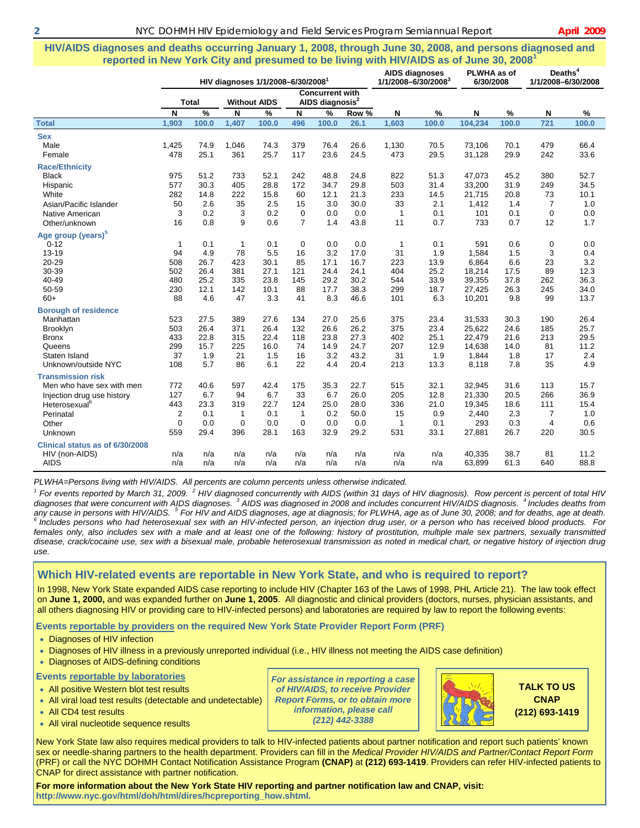#### **HIV/AIDS diagnoses and deaths occurring January 1, 2008, through June 30, 2008, and persons diagnosed and reported in New York City and presumed to be living with HIV/AIDS as of June 30, 2008<sup>1</sup>**

|                                 |                | HIV diagnoses 1/1/2008-6/30/2008 |              |                     |                |                                                       |       | <b>AIDS diagnoses</b><br>1/1/2008-6/30/2008 |               | PLWHA as of<br>6/30/2008 |       | Deaths <sup>4</sup><br>1/1/2008-6/30/2008 |       |
|---------------------------------|----------------|----------------------------------|--------------|---------------------|----------------|-------------------------------------------------------|-------|---------------------------------------------|---------------|--------------------------|-------|-------------------------------------------|-------|
|                                 |                | <b>Total</b>                     |              | <b>Without AIDS</b> |                | <b>Concurrent with</b><br>AIDS diagnosis <sup>2</sup> |       |                                             |               |                          |       |                                           |       |
|                                 | N              | $\frac{9}{6}$                    | N            | %                   | N              | $\frac{9}{6}$                                         | Row % | N                                           | $\frac{9}{6}$ | N                        | $\%$  | N                                         | %     |
| <b>Total</b>                    | 1,903          | 100.0                            | 1,407        | 100.0               | 496            | 100.0                                                 | 26.1  | 1,603                                       | 100.0         | 104,234                  | 100.0 | 721                                       | 100.0 |
| <b>Sex</b>                      |                |                                  |              |                     |                |                                                       |       |                                             |               |                          |       |                                           |       |
| Male                            | 1,425          | 74.9                             | 1,046        | 74.3                | 379            | 76.4                                                  | 26.6  | 1,130                                       | 70.5          | 73,106                   | 70.1  | 479                                       | 66.4  |
| Female                          | 478            | 25.1                             | 361          | 25.7                | 117            | 23.6                                                  | 24.5  | 473                                         | 29.5          | 31,128                   | 29.9  | 242                                       | 33.6  |
| <b>Race/Ethnicity</b>           |                |                                  |              |                     |                |                                                       |       |                                             |               |                          |       |                                           |       |
| <b>Black</b>                    | 975            | 51.2                             | 733          | 52.1                | 242            | 48.8                                                  | 24.8  | 822                                         | 51.3          | 47,073                   | 45.2  | 380                                       | 52.7  |
| Hispanic                        | 577            | 30.3                             | 405          | 28.8                | 172            | 34.7                                                  | 29.8  | 503                                         | 31.4          | 33,200                   | 31.9  | 249                                       | 34.5  |
| White                           | 282            | 14.8                             | 222          | 15.8                | 60             | 12.1                                                  | 21.3  | 233                                         | 14.5          | 21,715                   | 20.8  | 73                                        | 10.1  |
| Asian/Pacific Islander          | 50             | 2.6                              | 35           | 2.5                 | 15             | 3.0                                                   | 30.0  | 33                                          | 2.1           | 1,412                    | 1.4   | $\overline{7}$                            | 1.0   |
| Native American                 | 3              | 0.2                              | 3            | 0.2                 | $\Omega$       | 0.0                                                   | 0.0   | $\mathbf{1}$                                | 0.1           | 101                      | 0.1   | $\mathbf 0$                               | 0.0   |
| Other/unknown                   | 16             | 0.8                              | 9            | 0.6                 | $\overline{7}$ | 1.4                                                   | 43.8  | 11                                          | 0.7           | 733                      | 0.7   | 12                                        | 1.7   |
| Age group (years) <sup>5</sup>  |                |                                  |              |                     |                |                                                       |       |                                             |               |                          |       |                                           |       |
| $0 - 12$                        | 1              | 0.1                              | $\mathbf{1}$ | 0.1                 | 0              | 0.0                                                   | 0.0   | 1                                           | 0.1           | 591                      | 0.6   | $\mathbf 0$                               | 0.0   |
| $13 - 19$                       | 94             | 4.9                              | 78           | 5.5                 | 16             | 3.2                                                   | 17.0  | 31                                          | 1.9           | 1,584                    | 1.5   | 3                                         | 0.4   |
| 20-29                           | 508            | 26.7                             | 423          | 30.1                | 85             | 17.1                                                  | 16.7  | 223                                         | 13.9          | 6,864                    | 6.6   | 23                                        | 3.2   |
| 30-39                           | 502            | 26.4                             | 381          | 27.1                | 121            | 24.4                                                  | 24.1  | 404                                         | 25.2          | 18,214                   | 17.5  | 89                                        | 12.3  |
| 40-49                           | 480            | 25.2                             | 335          | 23.8                | 145            | 29.2                                                  | 30.2  | 544                                         | 33.9          | 39,355                   | 37.8  | 262                                       | 36.3  |
| 50-59                           | 230            | 12.1                             | 142          | 10.1                | 88             | 17.7                                                  | 38.3  | 299                                         | 18.7          | 27,425                   | 26.3  | 245                                       | 34.0  |
| $60+$                           | 88             | 4.6                              | 47           | 3.3                 | 41             | 8.3                                                   | 46.6  | 101                                         | 6.3           | 10,201                   | 9.8   | 99                                        | 13.7  |
| <b>Borough of residence</b>     |                |                                  |              |                     |                |                                                       |       |                                             |               |                          |       |                                           |       |
| Manhattan                       | 523            | 27.5                             | 389          | 27.6                | 134            | 27.0                                                  | 25.6  | 375                                         | 23.4          | 31,533                   | 30.3  | 190                                       | 26.4  |
| Brooklyn                        | 503            | 26.4                             | 371          | 26.4                | 132            | 26.6                                                  | 26.2  | 375                                         | 23.4          | 25.622                   | 24.6  | 185                                       | 25.7  |
| <b>Bronx</b>                    | 433            | 22.8                             | 315          | 22.4                | 118            | 23.8                                                  | 27.3  | 402                                         | 25.1          | 22,479                   | 21.6  | 213                                       | 29.5  |
| Queens                          | 299            | 15.7                             | 225          | 16.0                | 74             | 14.9                                                  | 24.7  | 207                                         | 12.9          | 14,638                   | 14.0  | 81                                        | 11.2  |
| Staten Island                   | 37             | 1.9                              | 21           | 1.5                 | 16             | 3.2                                                   | 43.2  | 31                                          | 1.9           | 1,844                    | 1.8   | 17                                        | 2.4   |
| Unknown/outside NYC             | 108            | 5.7                              | 86           | 6.1                 | 22             | 4.4                                                   | 20.4  | 213                                         | 13.3          | 8,118                    | 7.8   | 35                                        | 4.9   |
| <b>Transmission risk</b>        |                |                                  |              |                     |                |                                                       |       |                                             |               |                          |       |                                           |       |
| Men who have sex with men       | 772            | 40.6                             | 597          | 42.4                | 175            | 35.3                                                  | 22.7  | 515                                         | 32.1          | 32,945                   | 31.6  | 113                                       | 15.7  |
| Injection drug use history      | 127            | 6.7                              | 94           | 6.7                 | 33             | 6.7                                                   | 26.0  | 205                                         | 12.8          | 21,330                   | 20.5  | 266                                       | 36.9  |
| Heterosexual <sup>6</sup>       | 443            | 23.3                             | 319          | 22.7                | 124            | 25.0                                                  | 28.0  | 336                                         | 21.0          | 19,345                   | 18.6  | 111                                       | 15.4  |
| Perinatal                       | $\overline{2}$ | 0.1                              | $\mathbf{1}$ | 0.1                 | $\mathbf{1}$   | 0.2                                                   | 50.0  | 15                                          | 0.9           | 2,440                    | 2.3   | 7                                         | 1.0   |
| Other                           | $\mathbf 0$    | 0.0                              | $\mathbf 0$  | 0.0                 | $\mathbf 0$    | 0.0                                                   | 0.0   | $\mathbf{1}$                                | 0.1           | 293                      | 0.3   | 4                                         | 0.6   |
| Unknown                         | 559            | 29.4                             | 396          | 28.1                | 163            | 32.9                                                  | 29.2  | 531                                         | 33.1          | 27,881                   | 26.7  | 220                                       | 30.5  |
| Clinical status as of 6/30/2008 |                |                                  |              |                     |                |                                                       |       |                                             |               |                          |       |                                           |       |
| HIV (non-AIDS)                  | n/a            | n/a                              | n/a          | n/a                 | n/a            | n/a                                                   | n/a   | n/a                                         | n/a           | 40,335                   | 38.7  | 81                                        | 11.2  |
| <b>AIDS</b>                     | n/a            | n/a                              | n/a          | n/a                 | n/a            | n/a                                                   | n/a   | n/a                                         | n/a           | 63,899                   | 61.3  | 640                                       | 88.8  |

*PLWHA=Persons living with HIV/AIDS. All percents are column percents unless otherwise indicated. 1*

<sup>1</sup> For events reported by March 31, 2009. <sup>2</sup> HIV diagnosed concurrently with AIDS (within 31 days of HIV diagnosis). Row percent is percent of total HIV *diagnoses that were concurrent with AIDS diagnoses. 3 AIDS was diagnosed in 2008 and includes concurrent HIV/AIDS diagnosis. 4 Includes deaths from any cause in persons with HIV/AIDS. <sup>5</sup>* <sup>6</sup> Includes persons who had heterosexual sex with an HIV-infected person, an injection drug user, or a person who has received blood products. For females only, also includes sex with a male and at least one of the following: history of prostitution, multiple male sex partners, sexually transmitted *disease, crack/cocaine use, sex with a bisexual male, probable heterosexual transmission as noted in medical chart, or negative history of injection drug use.* 

#### **Which HIV-related events are reportable in New York State, and who is required to report?**

In 1998, New York State expanded AIDS case reporting to include HIV (Chapter 163 of the Laws of 1998, PHL Article 21). The law took effect on **June 1, 2000,** and was expanded further on **June 1, 2005**. All diagnostic and clinical providers (doctors, nurses, physician assistants, and all others diagnosing HIV or providing care to HIV-infected persons) and laboratories are required by law to report the following events:

#### **Events reportable by providers on the required New York State Provider Report Form (PRF)**

- Diagnoses of HIV infection
- Diagnoses of HIV illness in a previously unreported individual (i.e., HIV illness not meeting the AIDS case definition)
- Diagnoses of AIDS-defining conditions

#### **Events reportable by laboratories**

- All positive Western blot test results
- All viral load test results (detectable and undetectable)
- All CD4 test results
- All viral nucleotide sequence results

*For assistance in reporting a case of HIV/AIDS, to receive Provider Report Forms, or to obtain more information, please call (212) 442-3388* 



**TALK TO US CNAP (212) 693-1419**

New York State law also requires medical providers to talk to HIV-infected patients about partner notification and report such patients' known sex or needle-sharing partners to the health department. Providers can fill in the *Medical Provider HIV/AIDS and Partner/Contact Report Form*  (PRF) or call the NYC DOHMH Contact Notification Assistance Program **(CNAP)** at **(212) 693-1419**. Providers can refer HIV-infected patients to CNAP for direct assistance with partner notification.

**For more information about the New York State HIV reporting and partner notification law and CNAP, visit: http://www.nyc.gov/html/doh/html/dires/hcpreporting\_how.shtml.**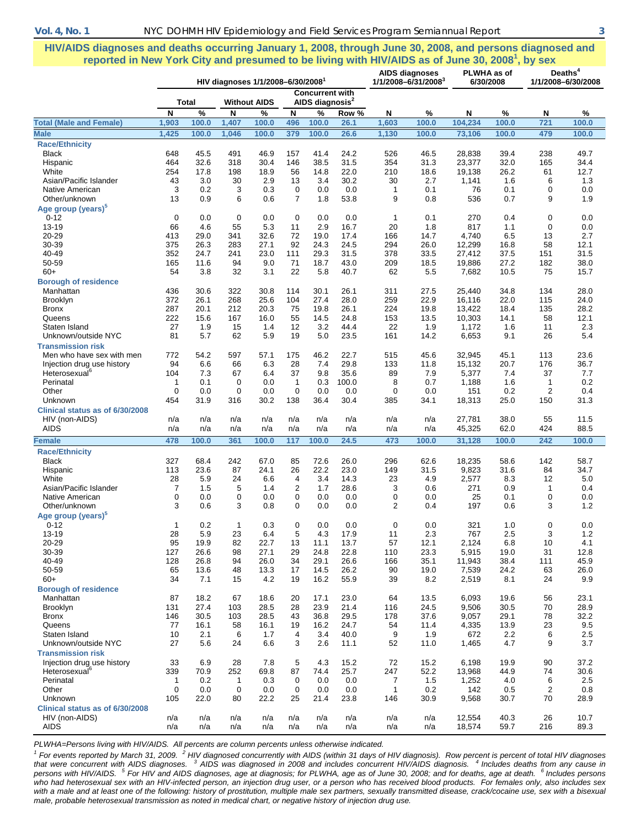**HIV/AIDS diagnoses and deaths occurring January 1, 2008, through June 30, 2008, and persons diagnosed and reported in New York City and presumed to be living with HIV/AIDS as of June 30, 2008<sup>1</sup> , by sex** 

|                                                         |              |              | HIV diagnoses 1/1/2008-6/30/20081 |                     |                      | <b>AIDS diagnoses</b><br>1/1/2008-6/31/2008 <sup>3</sup> |              | PLWHA as of<br>6/30/2008 |              | Deaths <sup>4</sup><br>1/1/2008-6/30/2008 |              |                |              |
|---------------------------------------------------------|--------------|--------------|-----------------------------------|---------------------|----------------------|----------------------------------------------------------|--------------|--------------------------|--------------|-------------------------------------------|--------------|----------------|--------------|
|                                                         |              | Total        |                                   | <b>Without AIDS</b> |                      | <b>Concurrent with</b><br>AIDS diagnosis <sup>2</sup>    |              |                          |              |                                           |              |                |              |
|                                                         | N            | $\%$         | N                                 | $\%$                | N                    | %                                                        | Row %        | N                        | $\%$         | N                                         | $\%$         | N              | $\%$         |
| (Male and Female)<br>Total                              | 1,903        | 100.0        | 1,407                             | 100.0               | 496                  | 100.0                                                    | 26.1         | 1,603                    | 100.0        | 104,234                                   | 100.0        | 721            | 100.0        |
| <b>Male</b>                                             | 1,425        | 100.0        | 1,046                             | 100.0               | 379                  | 100.0                                                    | 26.6         | 1,130                    | 100.0        | 73,106                                    | 100.0        | 479            | 100.0        |
| <b>Race/Ethnicity</b>                                   |              |              |                                   |                     |                      |                                                          |              |                          |              |                                           |              |                |              |
| <b>Black</b>                                            | 648          | 45.5         | 491                               | 46.9                | 157                  | 41.4                                                     | 24.2         | 526                      | 46.5         | 28,838                                    | 39.4         | 238            | 49.7         |
| Hispanic                                                | 464          | 32.6         | 318                               | 30.4                | 146                  | 38.5                                                     | 31.5         | 354                      | 31.3         | 23,377                                    | 32.0         | 165            | 34.4         |
| White<br>Asian/Pacific Islander                         | 254          | 17.8<br>3.0  | 198                               | 18.9                | 56                   | 14.8                                                     | 22.0         | 210<br>30                | 18.6         | 19,138                                    | 26.2         | 61<br>6        | 12.7         |
| Native American                                         | 43<br>3      | 0.2          | 30<br>3                           | 2.9<br>0.3          | 13<br>0              | 3.4<br>0.0                                               | 30.2<br>0.0  | $\mathbf{1}$             | 2.7<br>0.1   | 1,141<br>76                               | 1.6<br>0.1   | $\mathbf 0$    | 1.3<br>0.0   |
| Other/unknown                                           | 13           | 0.9          | 6                                 | 0.6                 | $\overline{7}$       | 1.8                                                      | 53.8         | 9                        | 0.8          | 536                                       | 0.7          | 9              | 1.9          |
| Age group (years) <sup>5</sup>                          |              |              |                                   |                     |                      |                                                          |              |                          |              |                                           |              |                |              |
| $0 - 12$                                                | $\mathbf 0$  | 0.0          | 0                                 | 0.0                 | 0                    | 0.0                                                      | 0.0          | $\mathbf{1}$             | 0.1          | 270                                       | 0.4          | $\mathbf 0$    | 0.0          |
| 13-19                                                   | 66           | 4.6          | 55                                | 5.3                 | 11                   | 2.9                                                      | 16.7         | 20                       | 1.8          | 817                                       | 1.1          | 0              | 0.0          |
| 20-29                                                   | 413          | 29.0         | 341                               | 32.6                | 72                   | 19.0                                                     | 17.4         | 166                      | 14.7         | 4,740                                     | 6.5          | 13             | 2.7          |
| 30-39                                                   | 375          | 26.3         | 283                               | 27.1                | 92                   | 24.3                                                     | 24.5         | 294                      | 26.0         | 12,299                                    | 16.8         | 58             | 12.1         |
| 40-49                                                   | 352          | 24.7         | 241                               | 23.0                | 111                  | 29.3                                                     | 31.5         | 378                      | 33.5         | 27,412                                    | 37.5         | 151            | 31.5         |
| 50-59<br>$60+$                                          | 165<br>54    | 11.6<br>3.8  | 94<br>32                          | 9.0<br>3.1          | 71<br>22             | 18.7<br>5.8                                              | 43.0<br>40.7 | 209<br>62                | 18.5<br>5.5  | 19,886<br>7,682                           | 27.2<br>10.5 | 182<br>75      | 38.0<br>15.7 |
| <b>Borough of residence</b>                             |              |              |                                   |                     |                      |                                                          |              |                          |              |                                           |              |                |              |
| Manhattan                                               | 436          | 30.6         | 322                               | 30.8                | 114                  | 30.1                                                     | 26.1         | 311                      | 27.5         | 25,440                                    | 34.8         | 134            | 28.0         |
| <b>Brooklyn</b>                                         | 372          | 26.1         | 268                               | 25.6                | 104                  | 27.4                                                     | 28.0         | 259                      | 22.9         | 16,116                                    | 22.0         | 115            | 24.0         |
| <b>Bronx</b>                                            | 287          | 20.1         | 212                               | 20.3                | 75                   | 19.8                                                     | 26.1         | 224                      | 19.8         | 13,422                                    | 18.4         | 135            | 28.2         |
| Queens                                                  | 222          | 15.6         | 167                               | 16.0                | 55                   | 14.5                                                     | 24.8         | 153                      | 13.5         | 10,303                                    | 14.1         | 58             | 12.1         |
| Staten Island                                           | 27           | 1.9          | 15                                | 1.4                 | 12                   | 3.2                                                      | 44.4         | 22                       | 1.9          | 1,172                                     | 1.6          | 11             | 2.3          |
| Unknown/outside NYC                                     | 81           | 5.7          | 62                                | 5.9                 | 19                   | 5.0                                                      | 23.5         | 161                      | 14.2         | 6,653                                     | 9.1          | 26             | 5.4          |
| <b>Transmission risk</b>                                |              |              |                                   |                     |                      |                                                          |              |                          |              |                                           |              |                |              |
| Men who have sex with men                               | 772<br>94    | 54.2<br>6.6  | 597<br>66                         | 57.1<br>6.3         | 175<br>28            | 46.2<br>7.4                                              | 22.7<br>29.8 | 515<br>133               | 45.6<br>11.8 | 32,945<br>15,132                          | 45.1<br>20.7 | 113<br>176     | 23.6<br>36.7 |
| Injection drug use history<br>Heterosexual <sup>6</sup> | 104          | 7.3          | 67                                | 6.4                 | 37                   | 9.8                                                      | 35.6         | 89                       | 7.9          | 5,377                                     | 7.4          | 37             | 7.7          |
| Perinatal                                               | $\mathbf{1}$ | 0.1          | 0                                 | 0.0                 | $\mathbf{1}$         | 0.3                                                      | 100.0        | 8                        | 0.7          | 1,188                                     | 1.6          | $\mathbf{1}$   | 0.2          |
| Other                                                   | $\mathbf 0$  | 0.0          | 0                                 | 0.0                 | $\mathbf 0$          | 0.0                                                      | 0.0          | $\mathbf 0$              | 0.0          | 151                                       | 0.2          | $\overline{2}$ | 0.4          |
| <b>Unknown</b>                                          | 454          | 31.9         | 316                               | 30.2                | 138                  | 36.4                                                     | 30.4         | 385                      | 34.1         | 18,313                                    | 25.0         | 150            | 31.3         |
| Clinical status as of 6/30/2008                         |              |              |                                   |                     |                      |                                                          |              |                          |              |                                           |              |                |              |
| HIV (non-AIDS)                                          | n/a          | n/a          | n/a                               | n/a                 | n/a                  | n/a                                                      | n/a          | n/a                      | n/a          | 27,781                                    | 38.0         | 55             | 11.5         |
| <b>AIDS</b>                                             | n/a          | n/a          | n/a                               | n/a                 | n/a                  | n/a                                                      | n/a          | n/a                      | n/a          | 45,325                                    | 62.0         | 424            | 88.5         |
| <b>Female</b>                                           | 478          | 100.0        | 361                               | 100.0               | 117                  | 100.0                                                    | 24.5         | 473                      | 100.0        | 31,128                                    | 100.0        | 242            | 100.0        |
| <b>Race/Ethnicity</b>                                   |              |              |                                   |                     |                      |                                                          |              |                          |              |                                           |              |                |              |
| <b>Black</b>                                            | 327          | 68.4         | 242                               | 67.0                | 85                   | 72.6                                                     | 26.0         | 296                      | 62.6         | 18,235                                    | 58.6         | 142            | 58.7         |
| Hispanic<br>White                                       | 113<br>28    | 23.6<br>5.9  | 87<br>24                          | 24.1<br>6.6         | 26<br>$\overline{4}$ | 22.2<br>3.4                                              | 23.0<br>14.3 | 149<br>23                | 31.5<br>4.9  | 9,823<br>2,577                            | 31.6<br>8.3  | 84<br>12       | 34.7<br>5.0  |
| Asian/Pacific Islander                                  | 7            | 1.5          | 5                                 | 1.4                 | $\overline{2}$       | 1.7                                                      | 28.6         | 3                        | 0.6          | 271                                       | 0.9          | $\mathbf{1}$   | 0.4          |
| Native American                                         | 0            | 0.0          | 0                                 | 0.0                 | $\mathbf 0$          | 0.0                                                      | 0.0          | $\mathbf 0$              | 0.0          | 25                                        | 0.1          | 0              | 0.0          |
| Other/unknown                                           | 3            | 0.6          | 3                                 | 0.8                 | 0                    | 0.0                                                      | 0.0          | 2                        | 0.4          | 197                                       | 0.6          | 3              | 1.2          |
| Age group (years) <sup>5</sup>                          |              |              |                                   |                     |                      |                                                          |              |                          |              |                                           |              |                |              |
| $0 - 12$                                                | 1            | 0.2          | 1                                 | 0.3                 | 0                    | 0.0                                                      | 0.0          | $\mathbf 0$              | 0.0          | 321                                       | 1.0          | $\mathbf 0$    | 0.0          |
| $13 - 19$                                               | 28           | 5.9          | 23                                | 6.4                 | 5                    | 4.3                                                      | 17.9         | 11                       | 2.3          | 767                                       | 2.5          | 3              | 1.2          |
| 20-29                                                   | 95           | 19.9         | 82                                | 22.7                | 13                   | 11.1                                                     | 13.7         | 57                       | 12.1         | 2,124                                     | 6.8          | 10             | 4.1          |
| 30-39<br>40-49                                          | 127<br>128   | 26.6<br>26.8 | 98<br>94                          | 27.1<br>26.0        | 29<br>34             | 24.8<br>29.1                                             | 22.8<br>26.6 | 110<br>166               | 23.3<br>35.1 | 5,915<br>11,943                           | 19.0<br>38.4 | 31<br>111      | 12.8<br>45.9 |
| 50-59                                                   | 65           | 13.6         | 48                                | 13.3                | 17                   | 14.5                                                     | 26.2         | 90                       | 19.0         | 7,539                                     | 24.2         | 63             | 26.0         |
| $60+$                                                   | 34           | 7.1          | 15                                | 4.2                 | 19                   | 16.2                                                     | 55.9         | 39                       | 8.2          | 2,519                                     | 8.1          | 24             | 9.9          |
| <b>Borough of residence</b>                             |              |              |                                   |                     |                      |                                                          |              |                          |              |                                           |              |                |              |
| Manhattan                                               | 87           | 18.2         | 67                                | 18.6                | 20                   | 17.1                                                     | 23.0         | 64                       | 13.5         | 6,093                                     | 19.6         | 56             | 23.1         |
| <b>Brooklyn</b>                                         | 131          | 27.4         | 103                               | 28.5                | 28                   | 23.9                                                     | 21.4         | 116                      | 24.5         | 9,506                                     | 30.5         | 70             | 28.9         |
| <b>Bronx</b>                                            | 146          | 30.5         | 103                               | 28.5                | 43                   | 36.8                                                     | 29.5         | 178                      | 37.6         | 9,057                                     | 29.1         | 78             | 32.2         |
| Queens                                                  | 77           | 16.1         | 58                                | 16.1                | 19                   | 16.2                                                     | 24.7         | 54                       | 11.4         | 4,335                                     | 13.9         | 23             | 9.5          |
| Staten Island<br>Unknown/outside NYC                    | 10<br>27     | 2.1<br>5.6   | 6<br>24                           | 1.7<br>6.6          | 4<br>3               | 3.4<br>2.6                                               | 40.0<br>11.1 | 9<br>52                  | 1.9<br>11.0  | 672<br>1,465                              | 2.2<br>4.7   | 6<br>9         | 2.5<br>3.7   |
| <b>Transmission risk</b>                                |              |              |                                   |                     |                      |                                                          |              |                          |              |                                           |              |                |              |
| Injection drug use history                              | 33           | 6.9          | 28                                | 7.8                 | 5                    | 4.3                                                      | 15.2         | 72                       | 15.2         | 6,198                                     | 19.9         | 90             | 37.2         |
| Heterosexual <sup>b</sup>                               | 339          | 70.9         | 252                               | 69.8                | 87                   | 74.4                                                     | 25.7         | 247                      | 52.2         | 13,968                                    | 44.9         | 74             | 30.6         |
| Perinatal                                               | $\mathbf{1}$ | 0.2          | $\mathbf{1}$                      | 0.3                 | 0                    | 0.0                                                      | 0.0          | 7                        | 1.5          | 1,252                                     | 4.0          | 6              | 2.5          |
| Other                                                   | $\mathbf 0$  | 0.0          | 0                                 | 0.0                 | 0                    | 0.0                                                      | 0.0          | $\mathbf{1}$             | 0.2          | 142                                       | 0.5          | 2              | 0.8          |
| Unknown                                                 | 105          | 22.0         | 80                                | 22.2                | 25                   | 21.4                                                     | 23.8         | 146                      | 30.9         | 9,568                                     | 30.7         | 70             | 28.9         |
| Clinical status as of 6/30/2008                         |              |              |                                   |                     |                      |                                                          |              |                          |              |                                           |              |                |              |
| HIV (non-AIDS)<br><b>AIDS</b>                           | n/a          | n/a          | n/a                               | n/a<br>n/a          | n/a                  | n/a                                                      | n/a          | n/a                      | n/a          | 12,554                                    | 40.3<br>59.7 | 26<br>216      | 10.7<br>89.3 |
|                                                         | n/a          | n/a          | n/a                               |                     | n/a                  | n/a                                                      | n/a          | n/a                      | n/a          | 18,574                                    |              |                |              |

*PLWHA=Persons living with HIV/AIDS. All percents are column percents unless otherwise indicated.* 

<sup>1</sup> For events reported by March 31, 2009. <sup>2</sup> HIV diagnosed concurrently with AIDS (within 31 days of HIV diagnosis). Row percent is percent of total HIV diagnoses<br>that were concurrent with AIDS diagnoses. <sup>3</sup> AIDS was di *persons with HIV/AIDS. <sup>5</sup> For HIV and AIDS diagnoses, age at diagnosis; for PLWHA, age as of June 30, 2008; and for deaths, age at death. 6 Includes persons who had heterosexual sex with an HIV-infected person, an injection drug user, or a person who has received blood products. For females only, also includes sex*  with a male and at least one of the following: history of prostitution, multiple male sex partners, sexually transmitted disease, crack/cocaine use, sex with a bisexual *male, probable heterosexual transmission as noted in medical chart, or negative history of injection drug use.*